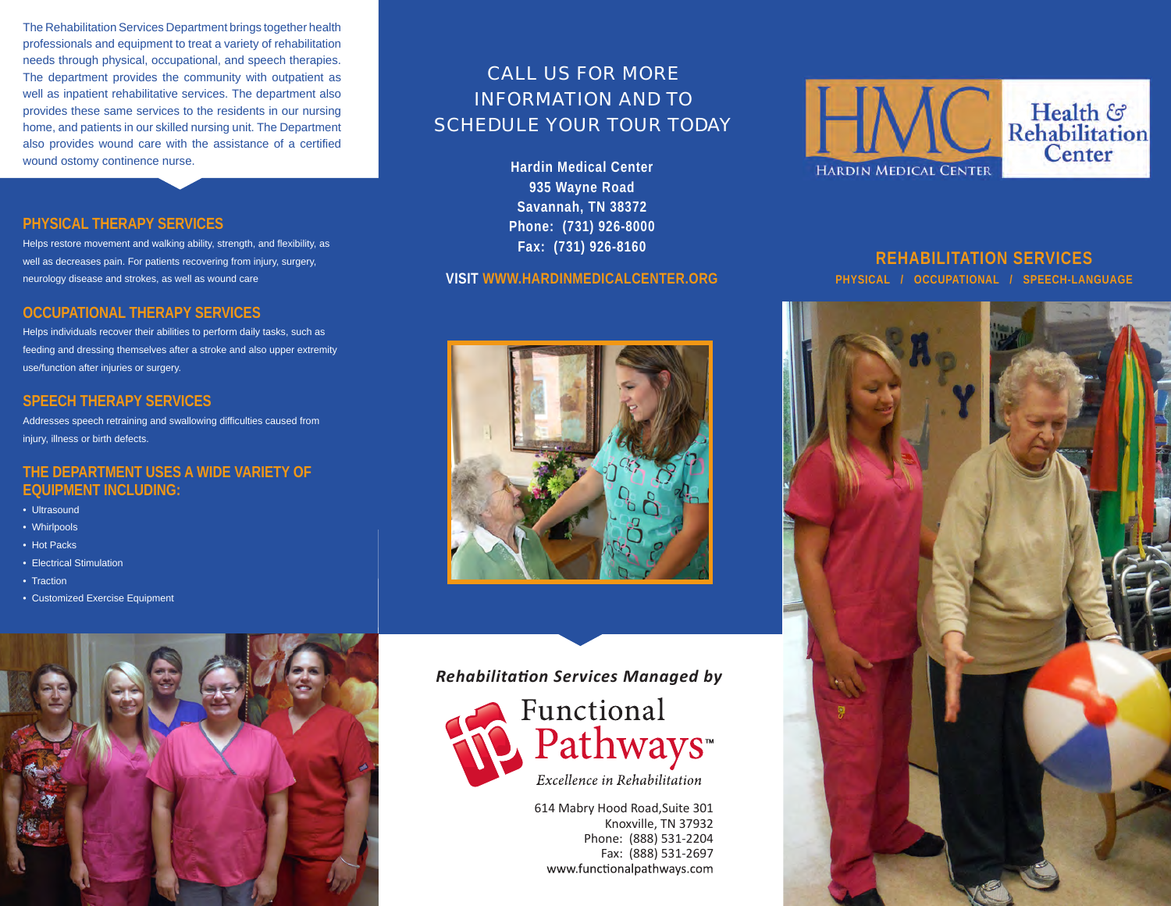The Rehabilitation Services Department brings together health professionals and equipment to treat a variety of rehabilitation needs through physical, occupational, and speech therapies. The department provides the community with outpatient as well as inpatient rehabilitative services. The department also provides these same services to the residents in our nursing home, and patients in our skilled nursing unit. The Department also provides wound care with the assistance of a certified wound ostomy continence nurse.

# CALL US FOR MORE INFORMATION AND TO SCHEDULE YOUR TOUR TODAY

**Hardin Medical Center 935 Wayne Road Savannah, TN 38372 Phone: (731) 926-8000 Fax: (731) 926-8160**

#### **VISIT WWW.HARDINMEDICALCENTER.ORG**





**REHABILITATION SERVICES PHYSICAL / OCCUPATIONAL / SPEECH-LANGUAGE**



## **PHYSICAL THERAPY SERVICES**

Helps restore movement and walking ability, strength, and flexibility, as well as decreases pain. For patients recovering from injury, surgery, neurology disease and strokes, as well as wound care

#### **OCCUPATIONAL THERAPY SERVICES**

Helps individuals recover their abilities to perform daily tasks, such as feeding and dressing themselves after a stroke and also upper extremity use/function after injuries or surgery.

#### **SPEECH THERAPY SERVICES**

Addresses speech retraining and swallowing difficulties caused from injury, illness or birth defects.

#### **THE DEPARTMENT USES A WIDE VARIETY OF EQUIPMENT INCLUDING:**

- Ultrasound
- Whirlpools
- Hot Packs
- Electrical Stimulation
- Traction
- Customized Exercise Equipment



*Rehabilitation Services Managed by*



614 Mabry Hood Road,Suite 301 Knoxville, TN 37932 Phone: (888) 531-2204 Fax: (888) 531-2697 www.functionalpathways.com